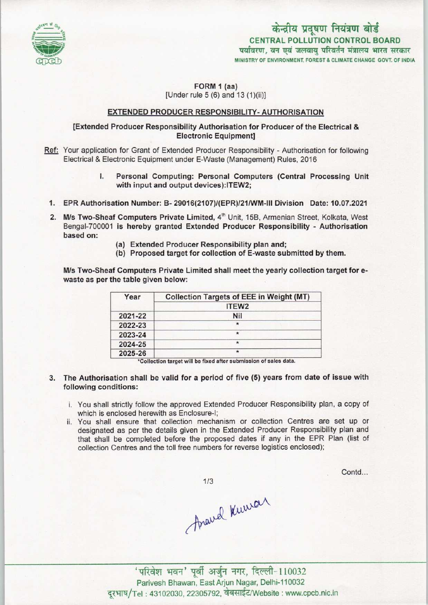

# केन्द्रीय प्रदूषण नियंत्रण बोर्ड CENTRAL POLLUTION CONTROL BOARD पर्यावरण, वन एवं जलवाय परिवर्तन मंत्रालय भारत सरकार MINISTRY OF ENVIRONMENT, FOREST & CLIMATE CHANGE GOVT. OF INDIA

## FORM 1 (aa) [Under rule 5 (6) and 13 (1)(ii)]

## EXTENDED PRODUCER RESPONSIBILITY- AUTHORISATION

# [Extended Producer Responsibility Authorisation for Producer of the Electrical & Electronic Equipment]

- Ref: Your application for Grant of Extended Producer Responsibility Authorisation for following Electrical & Electronic Equipment under E-Waste (Management) Rules, 2016
	- I. Personal Computing: Personal Computers (Central Processing Unit with input and output devices):ITEW2;
	- 1.EPR Authorisation Number: B- 29016(2107)/(EPR|/21/WM-lll Division Date: 10.07.2021
	- 2. M/s Two-Sheaf Computers Private Limited, 4<sup>th</sup> Unit, 15B, Armenian Street, Kolkata, West Bengal-700001 is hereby granted Extended Producer Responsibility - Authorisation based on:
		- (a) Extended Producer Responsibility plan and;
		- (b) Proposed target for collection of E-waste submitted by them.

M/s Two-Sheaf Computers Private Limited shall meet the yearly collection target for ewaste as per the table given below:

| Year    | <b>Collection Targets of EEE in Weight (MT)</b> |
|---------|-------------------------------------------------|
|         | ITEW <sub>2</sub>                               |
| 2021-22 | <b>Nil</b>                                      |
| 2022-23 | $\star$                                         |
| 2023-24 | $\star$                                         |
| 2024-25 | $\star$                                         |
| 2025-26 | $\star$                                         |

'Collection target will be fixed after submission of sales data.

- 3. The Authorisation shall be valid for a period of five (5) years from date of issue with following conditions:
	- i. You shall strictly follow the approved Extended Producer Responsibility plan, a copy of which is enclosed herewith as Enclosure-I;
	- ii. You shall ensure that collection mechanism or collection Centres are set up or designated as per the details given in the Extended Producer Responsibility plan and that shall be completed before the proposed dates if any in the EPR Plan (list of collection Centres and the toll free numbers for reverse logistics enclosed);

 $1/3$ 

Contd...

Anaud Kuwar

'परिवेश भवन' पूर्वी अर्जुन नगर, दिल्ली-110032 Parivesh Bhawan, East Arjun Nagar, Delhi-110032 दुरभाष/Tel: 43102030, 22305792, वेबसाईट/Website : www.cpcb.nic.in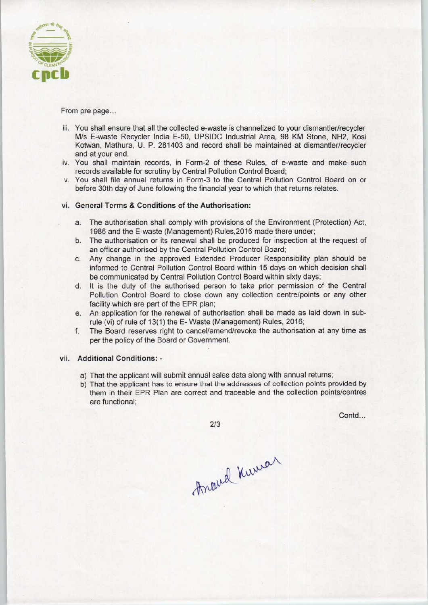

### From pre page...

- iii. You shall ensure that all the collected e-waste is channelized to your dismantler/recycler M/s E-waste Recycler India E-50, UPSIDC Industrial Area, 98 KM Stone, NH2, Kosi Kotwan, Mathura, U. P. 281403 and record shall be maintained at dismantler/recycler and at your end.
- iv. You shall maintain records, in Form-2 of these Rules, of e-waste and make such records available for scrutiny by Central Pollution Control Board;
- v. You shall file annual returns in Form-3 to the Central Pollution Control Board on or before 30th day of June following the financial year to which that returns relates.

### vi. General Terms & Conditions of the Authorisation:

- a.The authorisation shall comply with provisions of the Environment (Protection) Act, 1986 and the E-waste (Management) Rules,2016 made there under;
- b.The authorisation or its renewal shall be produced for inspection at the request of an officer authorised by the Central Pollution Control Board;
- c.Any change in the approved Extended Producer Responsibility plan should be informed to Central Pollution Control Board within 15 days on which decision shall be communicated by Central Pollution Control Board within sixty days;
- d. It is the duty of the authorised person to take prior permission of the Central Pollution Control Board to close down any collection centre/points or any other facility which are part of the EPR plan;
- e.An application for the renewal of authorisation shall be made as laid down in subrule (vi) of rule of 13(1) the E- Waste (Management) Rules, 2016;
- f.The Board reserves right to cancel/amend/revoke the authorisation at any time as per the policy of the Board or Government.

#### vii. Additional Conditions: -

- a) That the applicant will submit annual sales data along with annual returns;
- b) That the applicant has to ensure that the addresses of collection points provided by them in their EPR Plan are correct and traceable and the collection points/centres are functional;

Contd...

 $2/3$ 

Anand Kuman